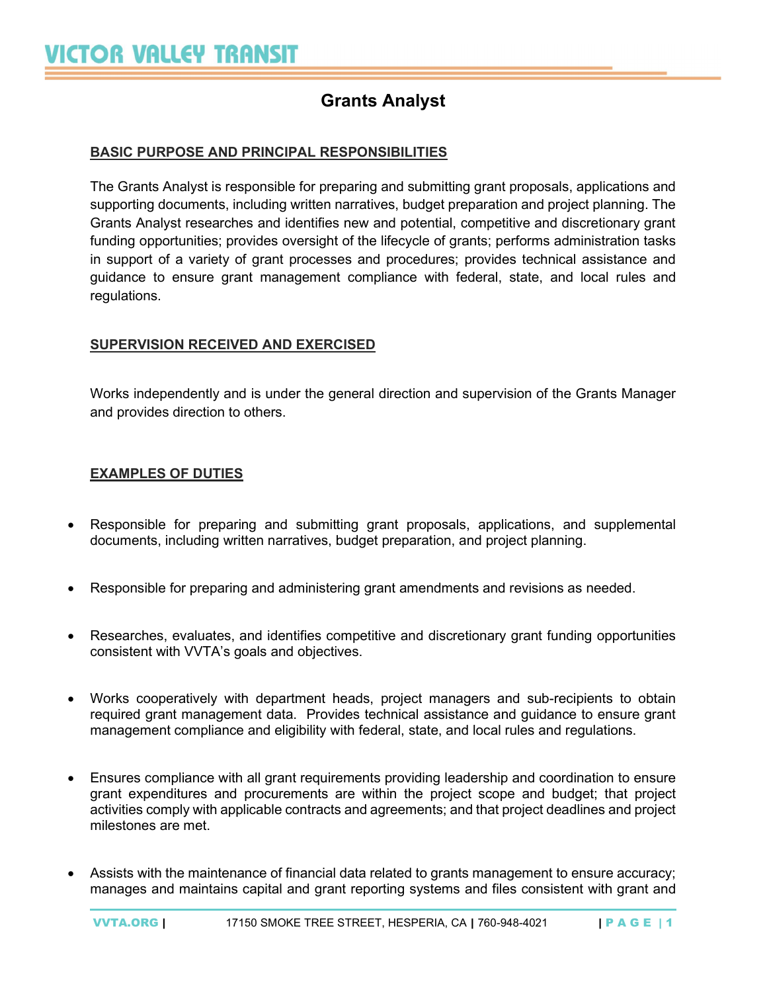# Grants Analyst

# BASIC PURPOSE AND PRINCIPAL RESPONSIBILITIES

The Grants Analyst is responsible for preparing and submitting grant proposals, applications and supporting documents, including written narratives, budget preparation and project planning. The Grants Analyst researches and identifies new and potential, competitive and discretionary grant funding opportunities; provides oversight of the lifecycle of grants; performs administration tasks in support of a variety of grant processes and procedures; provides technical assistance and guidance to ensure grant management compliance with federal, state, and local rules and regulations.

# SUPERVISION RECEIVED AND EXERCISED

Works independently and is under the general direction and supervision of the Grants Manager and provides direction to others.

#### EXAMPLES OF DUTIES

- Responsible for preparing and submitting grant proposals, applications, and supplemental documents, including written narratives, budget preparation, and project planning.
- Responsible for preparing and administering grant amendments and revisions as needed.
- Researches, evaluates, and identifies competitive and discretionary grant funding opportunities consistent with VVTA's goals and objectives.
- Works cooperatively with department heads, project managers and sub-recipients to obtain required grant management data. Provides technical assistance and guidance to ensure grant management compliance and eligibility with federal, state, and local rules and regulations.
- Ensures compliance with all grant requirements providing leadership and coordination to ensure grant expenditures and procurements are within the project scope and budget; that project activities comply with applicable contracts and agreements; and that project deadlines and project milestones are met.
- Assists with the maintenance of financial data related to grants management to ensure accuracy; manages and maintains capital and grant reporting systems and files consistent with grant and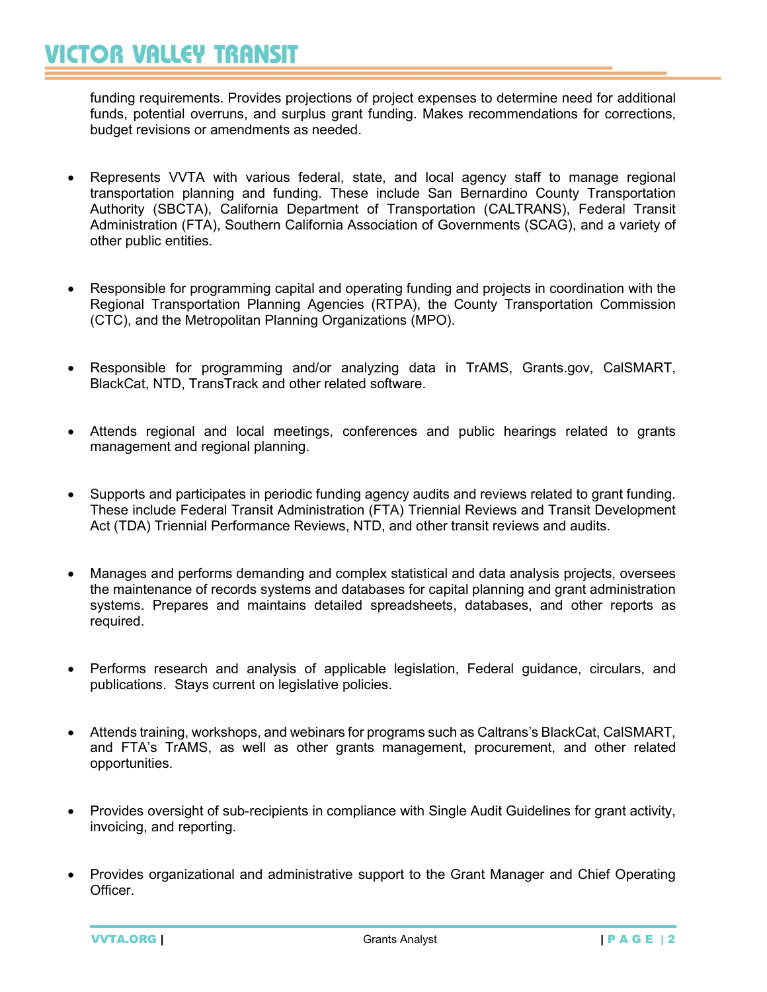# **VICTOR VALLEY TRANSIT**

funding requirements. Provides projections of project expenses to determine need for additional funds, potential overruns, and surplus grant funding. Makes recommendations for corrections, budget revisions or amendments as needed.

- Represents VVTA with various federal, state, and local agency staff to manage regional transportation planning and funding. These include San Bernardino County Transportation Authority (SBCTA), California Department of Transportation (CALTRANS), Federal Transit Administration (FTA), Southern California Association of Governments (SCAG), and a variety of other public entities.
- Responsible for programming capital and operating funding and projects in coordination with the Regional Transportation Planning Agencies (RTPA), the County Transportation Commission (CTC), and the Metropolitan Planning Organizations (MPO).
- Responsible for programming and/or analyzing data in TrAMS, Grants.gov, CalSMART, BlackCat, NTD, TransTrack and other related software.
- Attends regional and local meetings, conferences and public hearings related to grants management and regional planning.
- Supports and participates in periodic funding agency audits and reviews related to grant funding. These include Federal Transit Administration (FTA) Triennial Reviews and Transit Development Act (TDA) Triennial Performance Reviews, NTD, and other transit reviews and audits.
- Manages and performs demanding and complex statistical and data analysis projects, oversees the maintenance of records systems and databases for capital planning and grant administration systems. Prepares and maintains detailed spreadsheets, databases, and other reports as required.
- Performs research and analysis of applicable legislation, Federal guidance, circulars, and publications. Stays current on legislative policies.
- Attends training, workshops, and webinars for programs such as Caltrans's BlackCat, CalSMART, and FTA's TrAMS, as well as other grants management, procurement, and other related opportunities.
- Provides oversight of sub-recipients in compliance with Single Audit Guidelines for grant activity, invoicing, and reporting.
- Provides organizational and administrative support to the Grant Manager and Chief Operating Officer.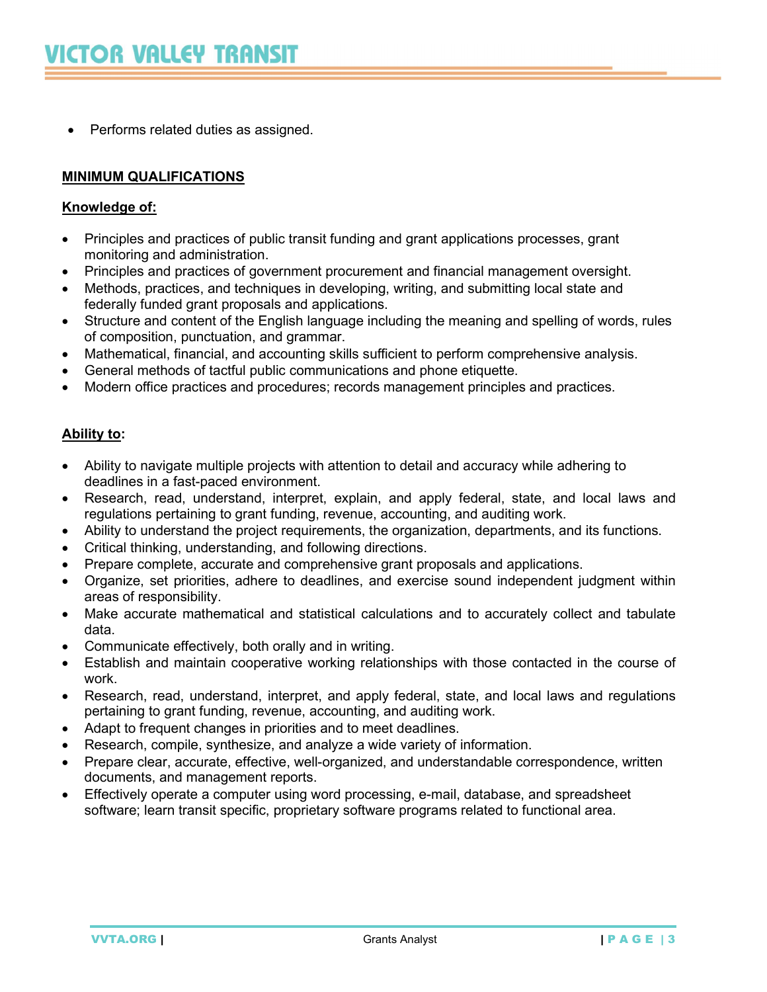• Performs related duties as assigned.

# MINIMUM QUALIFICATIONS

#### Knowledge of:

- Principles and practices of public transit funding and grant applications processes, grant monitoring and administration.
- Principles and practices of government procurement and financial management oversight.
- Methods, practices, and techniques in developing, writing, and submitting local state and federally funded grant proposals and applications.
- Structure and content of the English language including the meaning and spelling of words, rules of composition, punctuation, and grammar.
- Mathematical, financial, and accounting skills sufficient to perform comprehensive analysis.
- General methods of tactful public communications and phone etiquette.
- Modern office practices and procedures; records management principles and practices.

#### Ability to:

- Ability to navigate multiple projects with attention to detail and accuracy while adhering to deadlines in a fast-paced environment.
- Research, read, understand, interpret, explain, and apply federal, state, and local laws and regulations pertaining to grant funding, revenue, accounting, and auditing work.
- Ability to understand the project requirements, the organization, departments, and its functions.
- Critical thinking, understanding, and following directions.
- Prepare complete, accurate and comprehensive grant proposals and applications.
- Organize, set priorities, adhere to deadlines, and exercise sound independent judgment within areas of responsibility.
- Make accurate mathematical and statistical calculations and to accurately collect and tabulate data.
- Communicate effectively, both orally and in writing.
- Establish and maintain cooperative working relationships with those contacted in the course of work.
- Research, read, understand, interpret, and apply federal, state, and local laws and regulations pertaining to grant funding, revenue, accounting, and auditing work.
- Adapt to frequent changes in priorities and to meet deadlines.
- Research, compile, synthesize, and analyze a wide variety of information.
- Prepare clear, accurate, effective, well-organized, and understandable correspondence, written documents, and management reports.
- Effectively operate a computer using word processing, e-mail, database, and spreadsheet software; learn transit specific, proprietary software programs related to functional area.